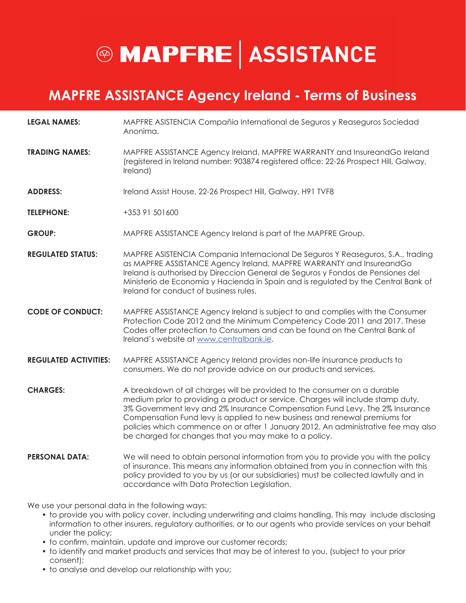## **@ MAPFRE ASSISTANCE**

#### **MAPFRE ASSISTANCE Agency Ireland - Terms of Business**

- **LEGAL NAMES:** MAPFRE ASISTENCIA Compañia International de Seguros y Reaseguros Sociedad Anonima.
- **TRADING NAMES:** MAPFRE ASSISTANCE Agency Ireland, MAPFRE WARRANTY and InsureandGo Ireland (registered in Ireland number: 903874 registered office: 22-26 Prospect Hill, Galway, Ireland)
- **ADDRESS:** Ireland Assist House, 22-26 Prospect Hill, Galway, H91 TVF8
- **TELEPHONE:** +353 91 501600
- **GROUP:** MAPFRE ASSISTANCE Agency Ireland is part of the MAPFRE Group.
- **REGULATED STATUS:** MAPFRE ASISTENCIA Compania Internacional De Seguros Y Reaseguros, S.A., trading as MAPFRE ASSISTANCE Agency Ireland, MAPFRE WARRANTY and InsureandGo Ireland is authorised by Direccion General de Seguros y Fondos de Pensiones del Ministerio de Economia y Hacienda in Spain and is regulated by the Central Bank of Ireland for conduct of business rules.
- **CODE OF CONDUCT:** MAPFRE ASSISTANCE Agency Ireland is subject to and complies with the Consumer Protection Code 2012 and the Minimum Competency Code 2011 and 2017. These Codes offer protection to Consumers and can be found on the Central Bank of Ireland's website at www.centralbank.ie.
- **REGULATED ACTIVITIES:** MAPFRE ASSISTANCE Agency Ireland provides non-life insurance products to consumers. We do not provide advice on our products and services.
- **CHARGES:** A breakdown of all charges will be provided to the consumer on a durable medium prior to providing a product or service. Charges will include stamp duty, 3% Government levy and 2% Insurance Compensation Fund Levy. The 2% Insurance Compensation Fund levy is applied to new business and renewal premiums for policies which commence on or after 1 January 2012. An administrative fee may also be charged for changes that you may make to a policy.
- **PERSONAL DATA:** We will need to obtain personal information from you to provide you with the policy of insurance. This means any information obtained from you in connection with this policy provided to you by us (or our subsidiaries) must be collected lawfully and in accordance with Data Protection Legislation.

We use your personal data in the following ways:

- to provide you with policy cover, including underwriting and claims handling. This may include disclosing information to other insurers, regulatory authorities, or to our agents who provide services on your behalf under the policy;
- to confirm, maintain, update and improve our customer records;
- to identify and market products and services that may be of interest to you, (subject to your prior consent);
- to analyse and develop our relationship with you;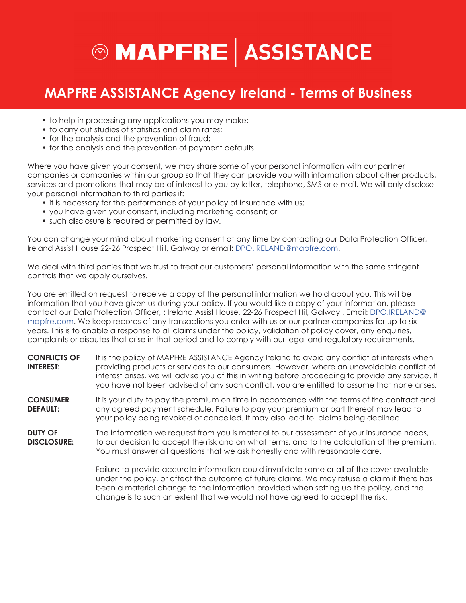

#### **MAPFRE ASSISTANCE Agency Ireland - Terms of Business**

- to help in processing any applications you may make;
- to carry out studies of statistics and claim rates;
- for the analysis and the prevention of fraud;
- for the analysis and the prevention of payment defaults.

Where you have given your consent, we may share some of your personal information with our partner companies or companies within our group so that they can provide you with information about other products, services and promotions that may be of interest to you by letter, telephone, SMS or e-mail. We will only disclose your personal information to third parties if:

- it is necessary for the performance of your policy of insurance with us;
- you have given your consent, including marketing consent; or
- such disclosure is required or permitted by law.

You can change your mind about marketing consent at any time by contacting our Data Protection Officer, Ireland Assist House 22-26 Prospect Hill, Galway or email: DPO.IRELAND@mapfre.com.

We deal with third parties that we trust to treat our customers' personal information with the same stringent controls that we apply ourselves.

You are entitled on request to receive a copy of the personal information we hold about you. This will be information that you have given us during your policy. If you would like a copy of your information, please contact our Data Protection Officer, : Ireland Assist House, 22-26 Prospect Hil, Galway . Email: DPO.IRELAND@ mapfre.com. We keep records of any transactions you enter with us or our partner companies for up to six years. This is to enable a response to all claims under the policy, validation of policy cover, any enquiries, complaints or disputes that arise in that period and to comply with our legal and regulatory requirements.

- **CONFLICTS OF INTEREST:** It is the policy of MAPFRE ASSISTANCE Agency Ireland to avoid any conflict of interests when providing products or services to our consumers. However, where an unavoidable conflict of interest arises, we will advise you of this in writing before proceeding to provide any service. If you have not been advised of any such conflict, you are entitled to assume that none arises.
- **CONSUMER DEFAULT:** It is your duty to pay the premium on time in accordance with the terms of the contract and any agreed payment schedule. Failure to pay your premium or part thereof may lead to your policy being revoked or cancelled. It may also lead to claims being declined.

**DUTY OF DISCLOSURE:** The information we request from you is material to our assessment of your insurance needs, to our decision to accept the risk and on what terms, and to the calculation of the premium. You must answer all questions that we ask honestly and with reasonable care.

> Failure to provide accurate information could invalidate some or all of the cover available under the policy, or affect the outcome of future claims. We may refuse a claim if there has been a material change to the information provided when setting up the policy, and the change is to such an extent that we would not have agreed to accept the risk.